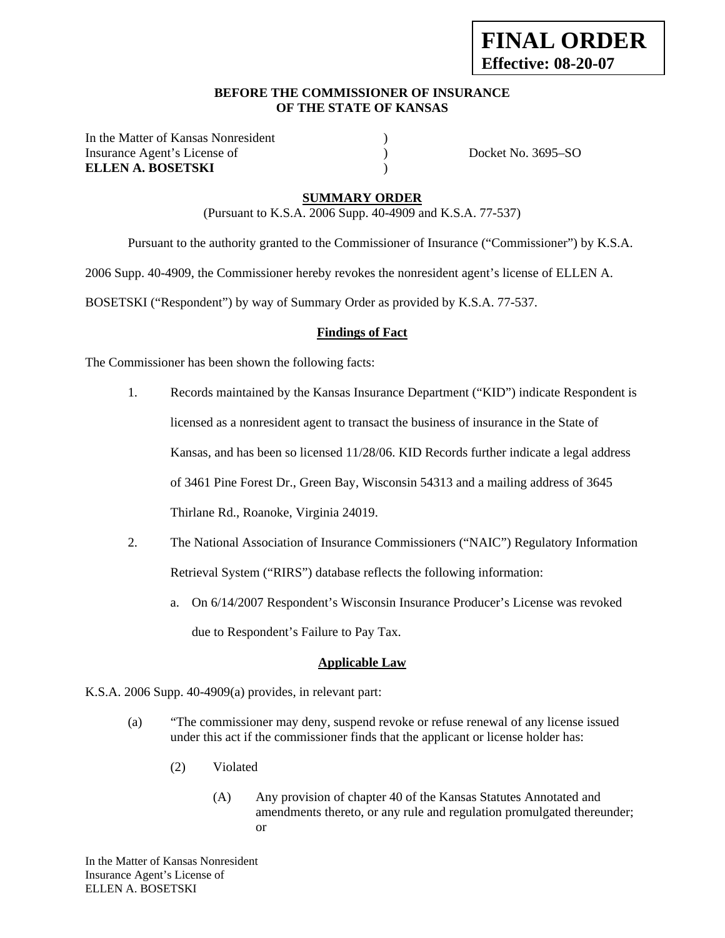#### **BEFORE THE COMMISSIONER OF INSURANCE OF THE STATE OF KANSAS**

In the Matter of Kansas Nonresident (1) Insurance Agent's License of ) Docket No. 3695–SO **ELLEN A. BOSETSKI** )

## **SUMMARY ORDER**

(Pursuant to K.S.A. 2006 Supp. 40-4909 and K.S.A. 77-537)

Pursuant to the authority granted to the Commissioner of Insurance ("Commissioner") by K.S.A.

2006 Supp. 40-4909, the Commissioner hereby revokes the nonresident agent's license of ELLEN A.

BOSETSKI ("Respondent") by way of Summary Order as provided by K.S.A. 77-537.

# **Findings of Fact**

The Commissioner has been shown the following facts:

- 1. Records maintained by the Kansas Insurance Department ("KID") indicate Respondent is licensed as a nonresident agent to transact the business of insurance in the State of Kansas, and has been so licensed 11/28/06. KID Records further indicate a legal address of 3461 Pine Forest Dr., Green Bay, Wisconsin 54313 and a mailing address of 3645 Thirlane Rd., Roanoke, Virginia 24019.
- 2. The National Association of Insurance Commissioners ("NAIC") Regulatory Information Retrieval System ("RIRS") database reflects the following information:
	- a. On 6/14/2007 Respondent's Wisconsin Insurance Producer's License was revoked due to Respondent's Failure to Pay Tax.

# **Applicable Law**

- K.S.A. 2006 Supp. 40-4909(a) provides, in relevant part:
	- (a) "The commissioner may deny, suspend revoke or refuse renewal of any license issued under this act if the commissioner finds that the applicant or license holder has:
		- (2) Violated
			- (A) Any provision of chapter 40 of the Kansas Statutes Annotated and amendments thereto, or any rule and regulation promulgated thereunder; or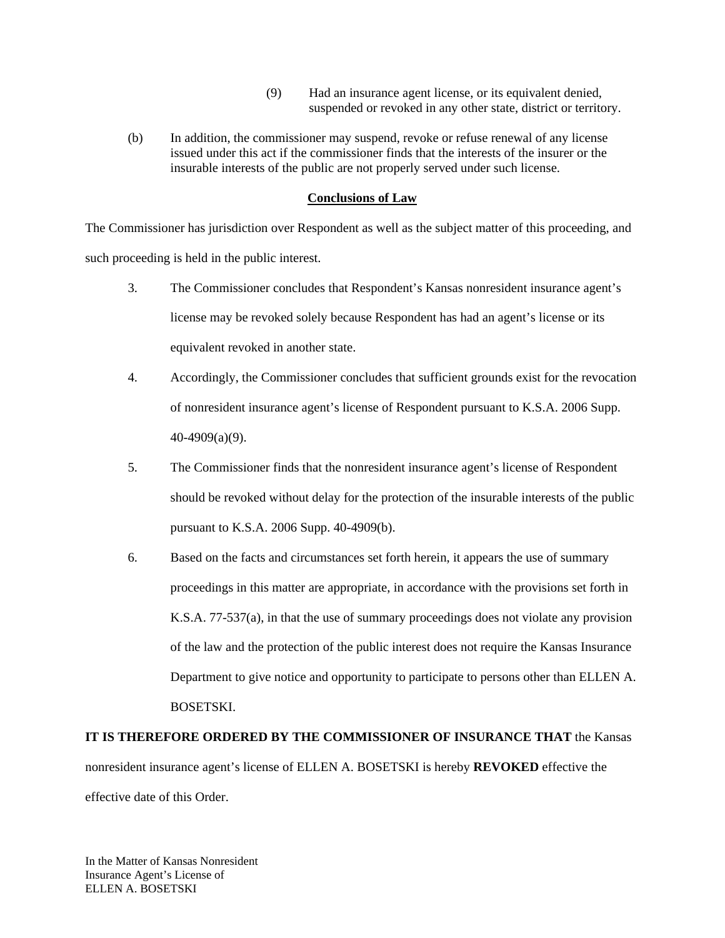- (9) Had an insurance agent license, or its equivalent denied, suspended or revoked in any other state, district or territory.
- (b) In addition, the commissioner may suspend, revoke or refuse renewal of any license issued under this act if the commissioner finds that the interests of the insurer or the insurable interests of the public are not properly served under such license.

# **Conclusions of Law**

The Commissioner has jurisdiction over Respondent as well as the subject matter of this proceeding, and such proceeding is held in the public interest.

- 3. The Commissioner concludes that Respondent's Kansas nonresident insurance agent's license may be revoked solely because Respondent has had an agent's license or its equivalent revoked in another state.
- 4. Accordingly, the Commissioner concludes that sufficient grounds exist for the revocation of nonresident insurance agent's license of Respondent pursuant to K.S.A. 2006 Supp. 40-4909(a)(9).
- 5. The Commissioner finds that the nonresident insurance agent's license of Respondent should be revoked without delay for the protection of the insurable interests of the public pursuant to K.S.A. 2006 Supp. 40-4909(b).
- 6. Based on the facts and circumstances set forth herein, it appears the use of summary proceedings in this matter are appropriate, in accordance with the provisions set forth in K.S.A. 77-537(a), in that the use of summary proceedings does not violate any provision of the law and the protection of the public interest does not require the Kansas Insurance Department to give notice and opportunity to participate to persons other than ELLEN A. BOSETSKI.

# **IT IS THEREFORE ORDERED BY THE COMMISSIONER OF INSURANCE THAT** the Kansas nonresident insurance agent's license of ELLEN A. BOSETSKI is hereby **REVOKED** effective the effective date of this Order.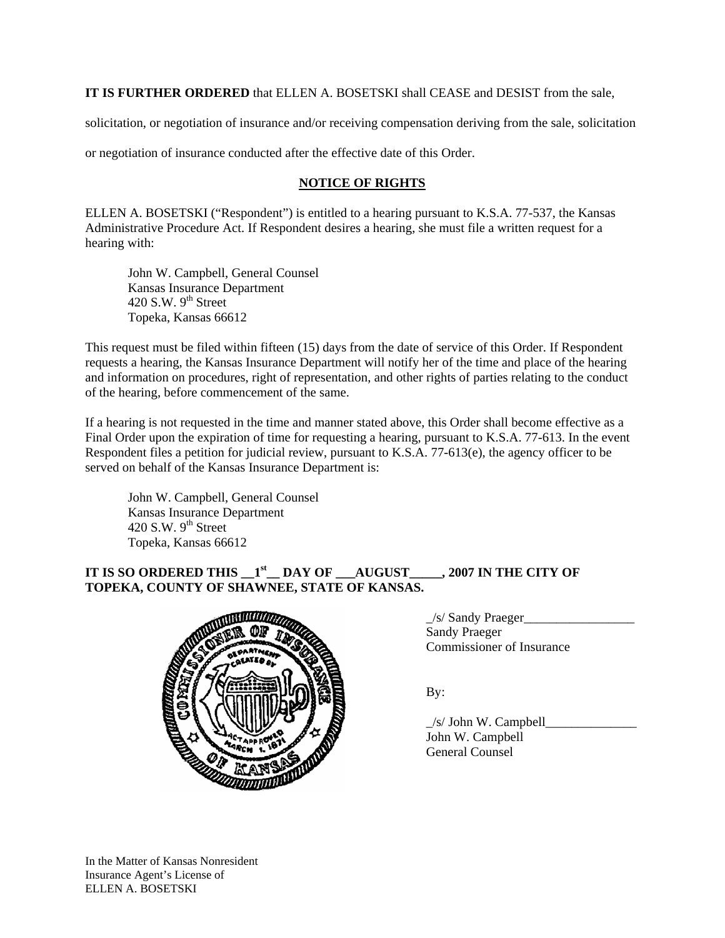**IT IS FURTHER ORDERED** that ELLEN A. BOSETSKI shall CEASE and DESIST from the sale,

solicitation, or negotiation of insurance and/or receiving compensation deriving from the sale, solicitation

or negotiation of insurance conducted after the effective date of this Order.

# **NOTICE OF RIGHTS**

ELLEN A. BOSETSKI ("Respondent") is entitled to a hearing pursuant to K.S.A. 77-537, the Kansas Administrative Procedure Act. If Respondent desires a hearing, she must file a written request for a hearing with:

 John W. Campbell, General Counsel Kansas Insurance Department 420 S.W.  $9<sup>th</sup>$  Street Topeka, Kansas 66612

This request must be filed within fifteen (15) days from the date of service of this Order. If Respondent requests a hearing, the Kansas Insurance Department will notify her of the time and place of the hearing and information on procedures, right of representation, and other rights of parties relating to the conduct of the hearing, before commencement of the same.

If a hearing is not requested in the time and manner stated above, this Order shall become effective as a Final Order upon the expiration of time for requesting a hearing, pursuant to K.S.A. 77-613. In the event Respondent files a petition for judicial review, pursuant to K.S.A. 77-613(e), the agency officer to be served on behalf of the Kansas Insurance Department is:

 John W. Campbell, General Counsel Kansas Insurance Department 420 S.W.  $9<sup>th</sup>$  Street Topeka, Kansas 66612

# **IT IS SO ORDERED THIS**  $1^{st}$  **DAY OF**  $\rightarrow$  **AUGUST\_\_\_\_, 2007 IN THE CITY OF TOPEKA, COUNTY OF SHAWNEE, STATE OF KANSAS.**



\_/s/ Sandy Praeger\_\_\_\_\_\_\_\_\_\_\_\_\_\_\_\_\_ Sandy Praeger Commissioner of Insurance

 \_/s/ John W. Campbell\_\_\_\_\_\_\_\_\_\_\_\_\_\_ John W. Campbell General Counsel